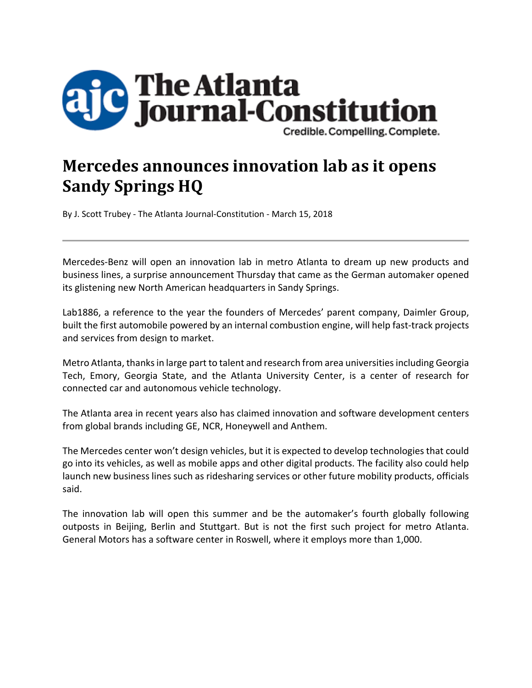

## **Mercedes announces innovation lab as it opens Sandy Springs HQ**

By J. Scott Trubey ‐ The Atlanta Journal‐Constitution ‐ March 15, 2018

Mercedes‐Benz will open an innovation lab in metro Atlanta to dream up new products and business lines, a surprise announcement Thursday that came as the German automaker opened its glistening new North American headquarters in Sandy Springs.

Lab1886, a reference to the year the founders of Mercedes' parent company, Daimler Group, built the first automobile powered by an internal combustion engine, will help fast-track projects and services from design to market.

Metro Atlanta, thanks in large part to talent and research from area universities including Georgia Tech, Emory, Georgia State, and the Atlanta University Center, is a center of research for connected car and autonomous vehicle technology.

The Atlanta area in recent years also has claimed innovation and software development centers from global brands including GE, NCR, Honeywell and Anthem.

The Mercedes center won't design vehicles, but it is expected to develop technologies that could go into its vehicles, as well as mobile apps and other digital products. The facility also could help launch new business lines such as ridesharing services or other future mobility products, officials said.

The innovation lab will open this summer and be the automaker's fourth globally following outposts in Beijing, Berlin and Stuttgart. But is not the first such project for metro Atlanta. General Motors has a software center in Roswell, where it employs more than 1,000.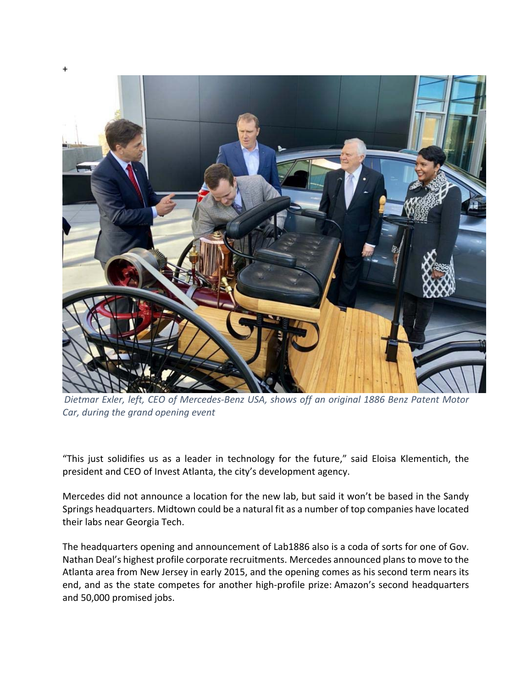

*Dietmar Exler, left, CEO of Mercedes‐Benz USA, shows off an original 1886 Benz Patent Motor Car, during the grand opening event*

"This just solidifies us as a leader in technology for the future," said Eloisa Klementich, the president and CEO of Invest Atlanta, the city's development agency.

Mercedes did not announce a location for the new lab, but said it won't be based in the Sandy Springs headquarters. Midtown could be a natural fit as a number of top companies have located their labs near Georgia Tech.

The headquarters opening and announcement of Lab1886 also is a coda of sorts for one of Gov. Nathan Deal's highest profile corporate recruitments. Mercedes announced plansto move to the Atlanta area from New Jersey in early 2015, and the opening comes as his second term nears its end, and as the state competes for another high‐profile prize: Amazon's second headquarters and 50,000 promised jobs.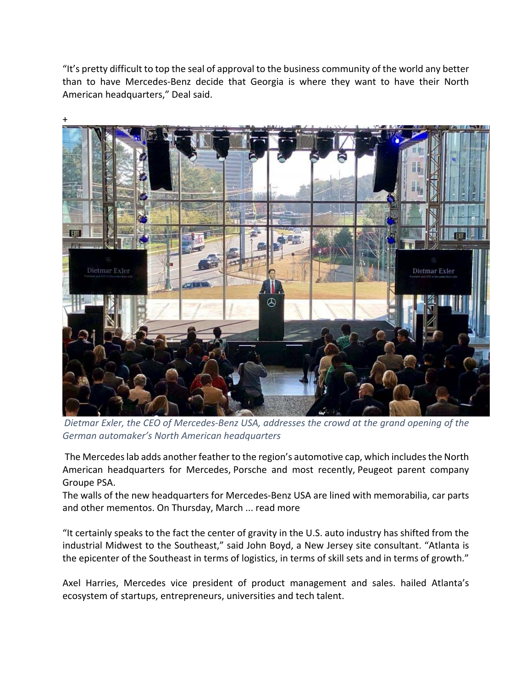"It's pretty difficult to top the seal of approval to the business community of the world any better than to have Mercedes‐Benz decide that Georgia is where they want to have their North American headquarters," Deal said.



*Dietmar Exler, the CEO of Mercedes‐Benz USA, addresses the crowd at the grand opening of the German automaker's North American headquarters*

The Mercedes lab adds another feather to the region's automotive cap, which includes the North American headquarters for Mercedes, Porsche and most recently, Peugeot parent company Groupe PSA.

The walls of the new headquarters for Mercedes‐Benz USA are lined with memorabilia, car parts and other mementos. On Thursday, March ... read more

"It certainly speaks to the fact the center of gravity in the U.S. auto industry has shifted from the industrial Midwest to the Southeast," said John Boyd, a New Jersey site consultant. "Atlanta is the epicenter of the Southeast in terms of logistics, in terms of skill sets and in terms of growth."

Axel Harries, Mercedes vice president of product management and sales. hailed Atlanta's ecosystem of startups, entrepreneurs, universities and tech talent.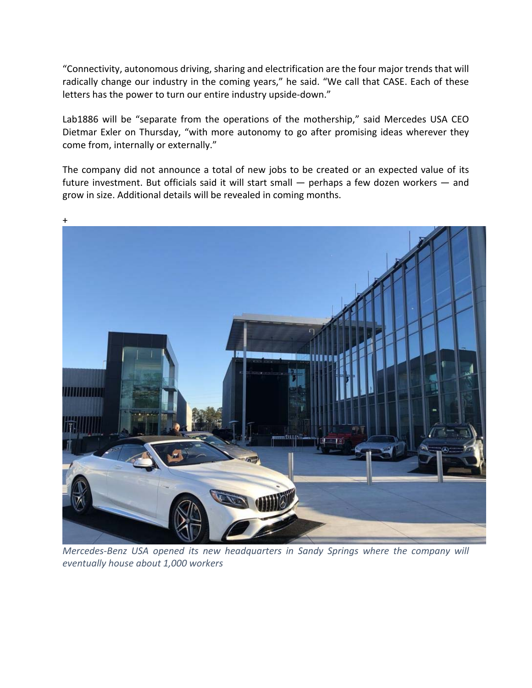"Connectivity, autonomous driving, sharing and electrification are the four major trends that will radically change our industry in the coming years," he said. "We call that CASE. Each of these letters has the power to turn our entire industry upside‐down."

Lab1886 will be "separate from the operations of the mothership," said Mercedes USA CEO Dietmar Exler on Thursday, "with more autonomy to go after promising ideas wherever they come from, internally or externally."

The company did not announce a total of new jobs to be created or an expected value of its future investment. But officials said it will start small — perhaps a few dozen workers — and grow in size. Additional details will be revealed in coming months.



*Mercedes‐Benz USA opened its new headquarters in Sandy Springs where the company will eventually house about 1,000 workers*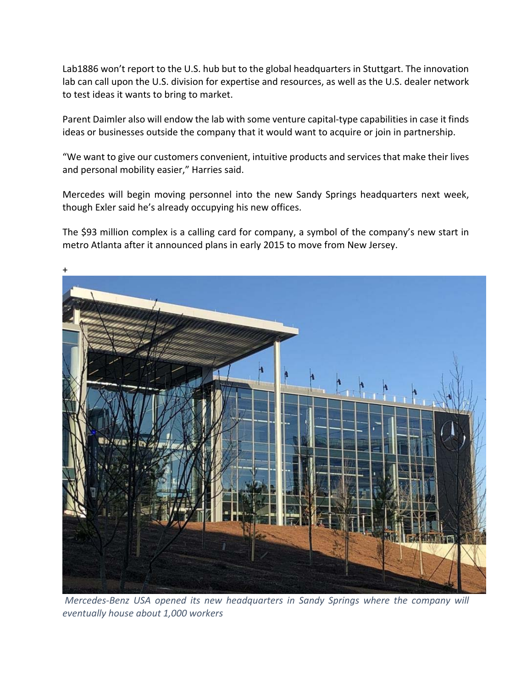Lab1886 won't report to the U.S. hub but to the global headquarters in Stuttgart. The innovation lab can call upon the U.S. division for expertise and resources, as well as the U.S. dealer network to test ideas it wants to bring to market.

Parent Daimler also will endow the lab with some venture capital‐type capabilities in case it finds ideas or businesses outside the company that it would want to acquire or join in partnership.

"We want to give our customers convenient, intuitive products and services that make their lives and personal mobility easier," Harries said.

Mercedes will begin moving personnel into the new Sandy Springs headquarters next week, though Exler said he's already occupying his new offices.

The \$93 million complex is a calling card for company, a symbol of the company's new start in metro Atlanta after it announced plans in early 2015 to move from New Jersey.



*Mercedes‐Benz USA opened its new headquarters in Sandy Springs where the company will eventually house about 1,000 workers*